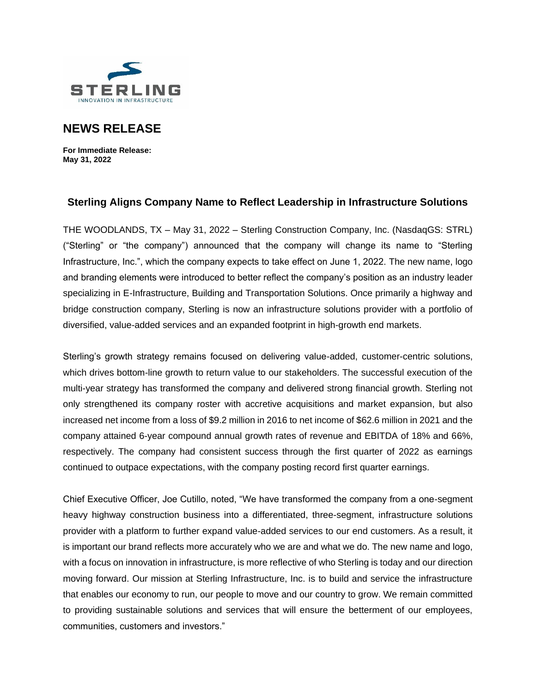

# **NEWS RELEASE**

**For Immediate Release: May 31, 2022**

# **Sterling Aligns Company Name to Reflect Leadership in Infrastructure Solutions**

THE WOODLANDS, TX – May 31, 2022 – Sterling Construction Company, Inc. (NasdaqGS: STRL) ("Sterling" or "the company") announced that the company will change its name to "Sterling Infrastructure, Inc.", which the company expects to take effect on June 1, 2022. The new name, logo and branding elements were introduced to better reflect the company's position as an industry leader specializing in E-Infrastructure, Building and Transportation Solutions. Once primarily a highway and bridge construction company, Sterling is now an infrastructure solutions provider with a portfolio of diversified, value-added services and an expanded footprint in high-growth end markets.

Sterling's growth strategy remains focused on delivering value-added, customer-centric solutions, which drives bottom-line growth to return value to our stakeholders. The successful execution of the multi-year strategy has transformed the company and delivered strong financial growth. Sterling not only strengthened its company roster with accretive acquisitions and market expansion, but also increased net income from a loss of \$9.2 million in 2016 to net income of \$62.6 million in 2021 and the company attained 6-year compound annual growth rates of revenue and EBITDA of 18% and 66%, respectively. The company had consistent success through the first quarter of 2022 as earnings continued to outpace expectations, with the company posting record first quarter earnings.

Chief Executive Officer, Joe Cutillo, noted, "We have transformed the company from a one-segment heavy highway construction business into a differentiated, three-segment, infrastructure solutions provider with a platform to further expand value-added services to our end customers. As a result, it is important our brand reflects more accurately who we are and what we do. The new name and logo, with a focus on innovation in infrastructure, is more reflective of who Sterling is today and our direction moving forward. Our mission at Sterling Infrastructure, Inc. is to build and service the infrastructure that enables our economy to run, our people to move and our country to grow. We remain committed to providing sustainable solutions and services that will ensure the betterment of our employees, communities, customers and investors."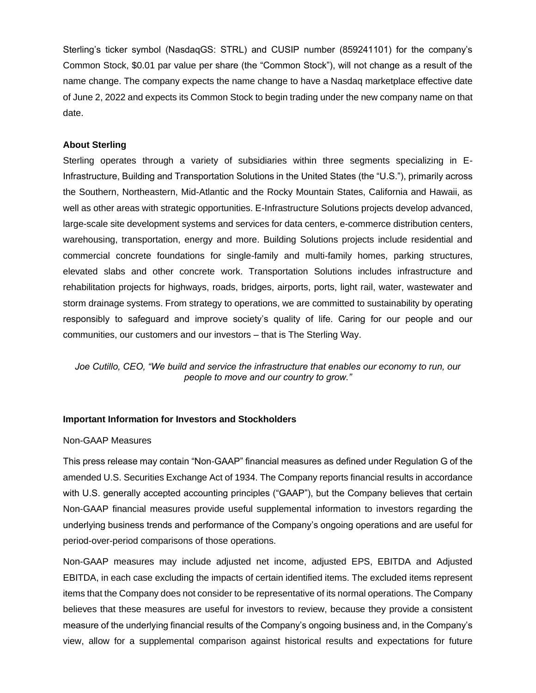Sterling's ticker symbol (NasdaqGS: STRL) and CUSIP number (859241101) for the company's Common Stock, \$0.01 par value per share (the "Common Stock"), will not change as a result of the name change. The company expects the name change to have a Nasdaq marketplace effective date of June 2, 2022 and expects its Common Stock to begin trading under the new company name on that date.

#### **About Sterling**

Sterling operates through a variety of subsidiaries within three segments specializing in E-Infrastructure, Building and Transportation Solutions in the United States (the "U.S."), primarily across the Southern, Northeastern, Mid-Atlantic and the Rocky Mountain States, California and Hawaii, as well as other areas with strategic opportunities. E-Infrastructure Solutions projects develop advanced, large-scale site development systems and services for data centers, e-commerce distribution centers, warehousing, transportation, energy and more. Building Solutions projects include residential and commercial concrete foundations for single-family and multi-family homes, parking structures, elevated slabs and other concrete work. Transportation Solutions includes infrastructure and rehabilitation projects for highways, roads, bridges, airports, ports, light rail, water, wastewater and storm drainage systems. From strategy to operations, we are committed to sustainability by operating responsibly to safeguard and improve society's quality of life. Caring for our people and our communities, our customers and our investors – that is The Sterling Way.

*Joe Cutillo, CEO, "We build and service the infrastructure that enables our economy to run, our people to move and our country to grow."*

### **Important Information for Investors and Stockholders**

#### Non-GAAP Measures

This press release may contain "Non-GAAP" financial measures as defined under Regulation G of the amended U.S. Securities Exchange Act of 1934. The Company reports financial results in accordance with U.S. generally accepted accounting principles ("GAAP"), but the Company believes that certain Non-GAAP financial measures provide useful supplemental information to investors regarding the underlying business trends and performance of the Company's ongoing operations and are useful for period-over-period comparisons of those operations.

Non-GAAP measures may include adjusted net income, adjusted EPS, EBITDA and Adjusted EBITDA, in each case excluding the impacts of certain identified items. The excluded items represent items that the Company does not consider to be representative of its normal operations. The Company believes that these measures are useful for investors to review, because they provide a consistent measure of the underlying financial results of the Company's ongoing business and, in the Company's view, allow for a supplemental comparison against historical results and expectations for future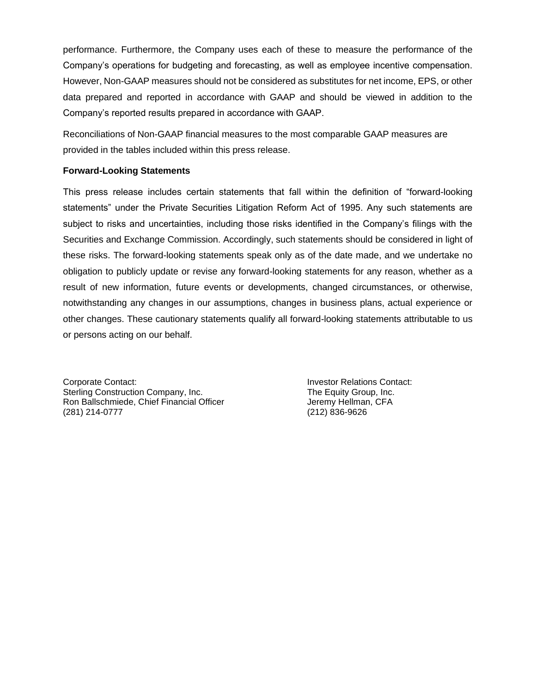performance. Furthermore, the Company uses each of these to measure the performance of the Company's operations for budgeting and forecasting, as well as employee incentive compensation. However, Non-GAAP measures should not be considered as substitutes for net income, EPS, or other data prepared and reported in accordance with GAAP and should be viewed in addition to the Company's reported results prepared in accordance with GAAP.

Reconciliations of Non-GAAP financial measures to the most comparable GAAP measures are provided in the tables included within this press release.

## **Forward-Looking Statements**

This press release includes certain statements that fall within the definition of "forward-looking statements" under the Private Securities Litigation Reform Act of 1995. Any such statements are subject to risks and uncertainties, including those risks identified in the Company's filings with the Securities and Exchange Commission. Accordingly, such statements should be considered in light of these risks. The forward-looking statements speak only as of the date made, and we undertake no obligation to publicly update or revise any forward-looking statements for any reason, whether as a result of new information, future events or developments, changed circumstances, or otherwise, notwithstanding any changes in our assumptions, changes in business plans, actual experience or other changes. These cautionary statements qualify all forward-looking statements attributable to us or persons acting on our behalf.

Corporate Contact: Sterling Construction Company, Inc. Ron Ballschmiede, Chief Financial Officer (281) 214-0777

Investor Relations Contact: The Equity Group, Inc. Jeremy Hellman, CFA (212) 836-9626